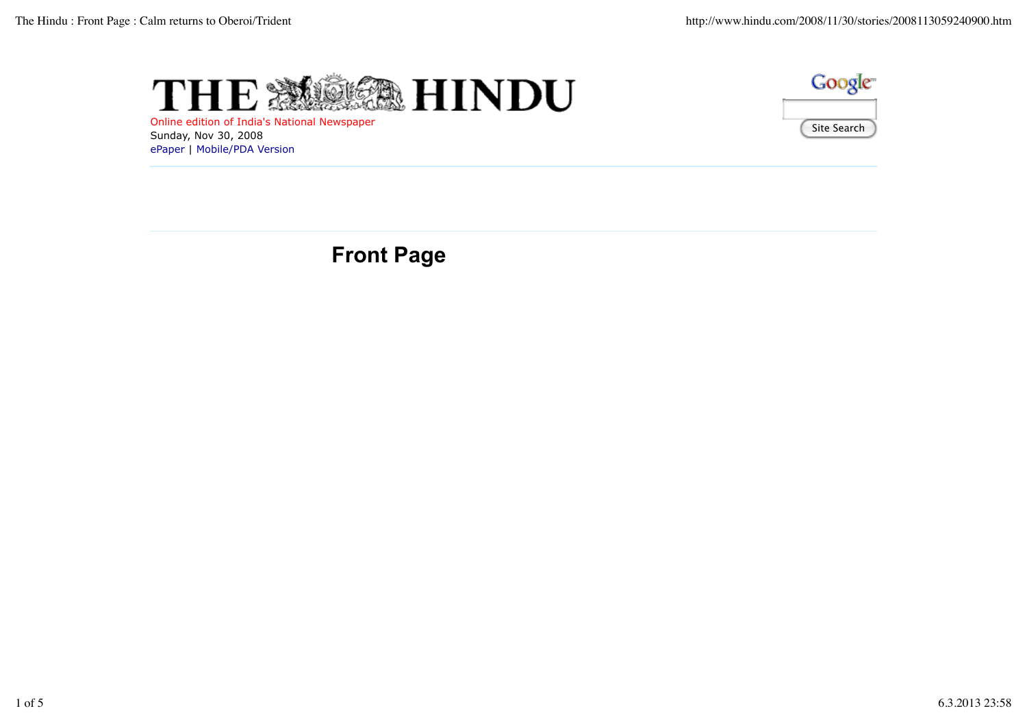



Online edition of India's National Newspaper Sunday, Nov 30, 2008 ePaper | Mobile/PDA Version

**Front Page**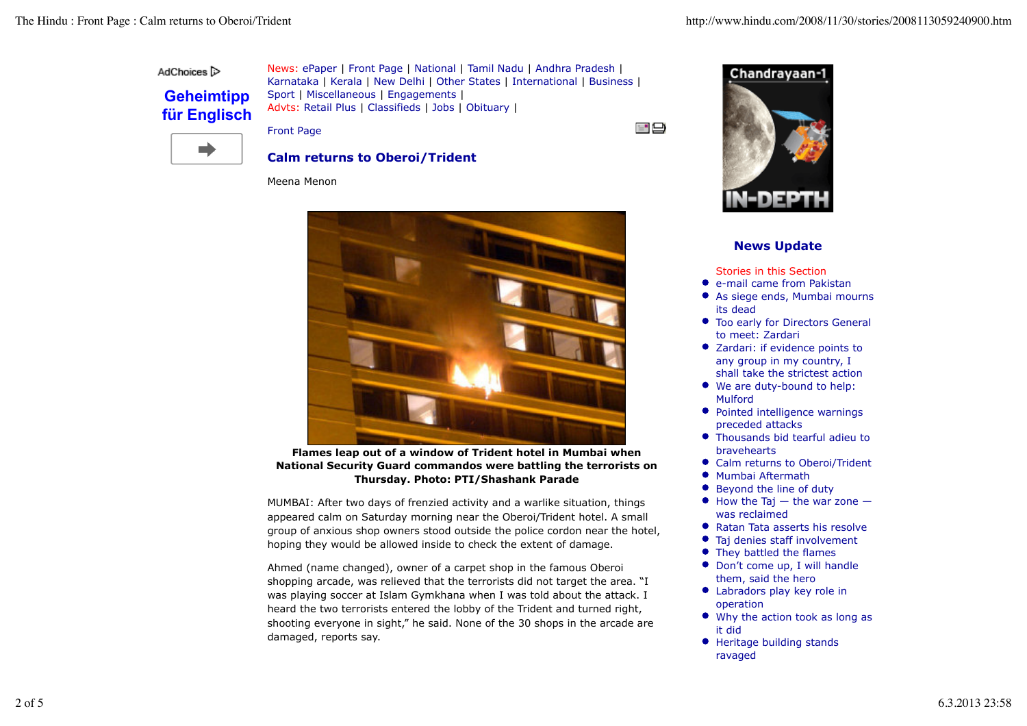AdChoices<sup>1</sup>

## **Geheimtipp für Englisch**

News: ePaper | Front Page | National | Tamil Nadu | Andhra Pradesh | Karnataka | Kerala | New Delhi | Other States | International | Business | Sport | Miscellaneous | Engagements | Advts: Retail Plus | Classifieds | Jobs | Obituary |

Front Page





## **News Update**

Stories in this Section

- e-mail came from Pakistan
- As siege ends, Mumbai mourns its dead
- Too early for Directors General to meet: Zardari
- Zardari: if evidence points to any group in my country, I shall take the strictest action
- We are duty-bound to help: Mulford
- Pointed intelligence warnings preceded attacks
- Thousands bid tearful adieu to bravehearts
- Calm returns to Oberoi/Trident
- Mumbai Aftermath
- $\bullet$ Beyond the line of duty
- $\bullet$  How the Taj the war zone was reclaimed
- Ratan Tata asserts his resolve
- Taj denies staff involvement
- They battled the flames
- Don't come up, I will handle them, said the hero
- Labradors play key role in operation
- Why the action took as long as it did
- Heritage building stands ravaged

m)

**Calm returns to Oberoi/Trident**

Meena Menon



**Flames leap out of a window of Trident hotel in Mumbai when National Security Guard commandos were battling the terrorists on Thursday. Photo: PTI/Shashank Parade**

MUMBAI: After two days of frenzied activity and a warlike situation, things appeared calm on Saturday morning near the Oberoi/Trident hotel. A small group of anxious shop owners stood outside the police cordon near the hotel, hoping they would be allowed inside to check the extent of damage.

Ahmed (name changed), owner of a carpet shop in the famous Oberoi shopping arcade, was relieved that the terrorists did not target the area. "I was playing soccer at Islam Gymkhana when I was told about the attack. I heard the two terrorists entered the lobby of the Trident and turned right, shooting everyone in sight," he said. None of the 30 shops in the arcade are damaged, reports say.